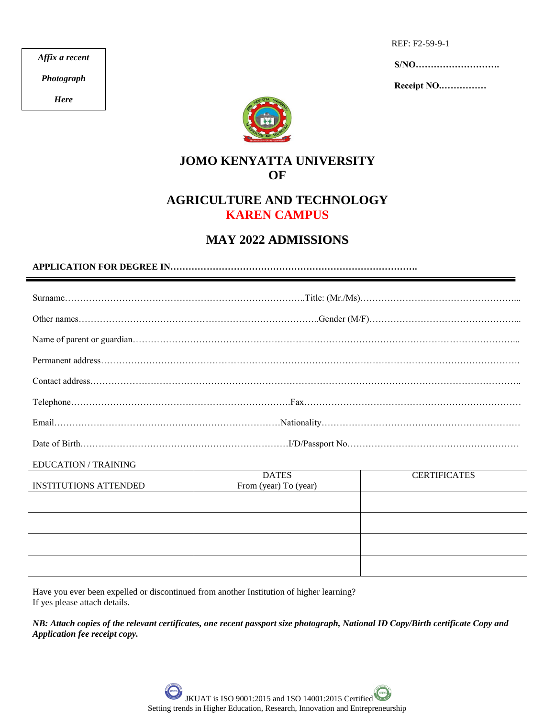REF: F2-59-9-1

REF: F2-59-9-1 **S/NO……………………….**

 **Receipt NO.……………**



### **JOMO KENYATTA UNIVERSITY OF**

# **AGRICULTURE AND TECHNOLOGY KAREN CAMPUS**

# **MAY 2022 ADMISSIONS**

**APPLICATION FOR DEGREE IN……………………………………………………………………….**

EDUCATION / TRAINING

|                              | <b>DATES</b>          | <b>CERTIFICATES</b> |
|------------------------------|-----------------------|---------------------|
| <b>INSTITUTIONS ATTENDED</b> | From (year) To (year) |                     |
|                              |                       |                     |
|                              |                       |                     |
|                              |                       |                     |
|                              |                       |                     |

Have you ever been expelled or discontinued from another Institution of higher learning? If yes please attach details.

*NB: Attach copies of the relevant certificates, one recent passport size photograph, National ID Copy/Birth certificate Copy and Application fee receipt copy.*



*Affix a recent*

*Photograph*

*Here*